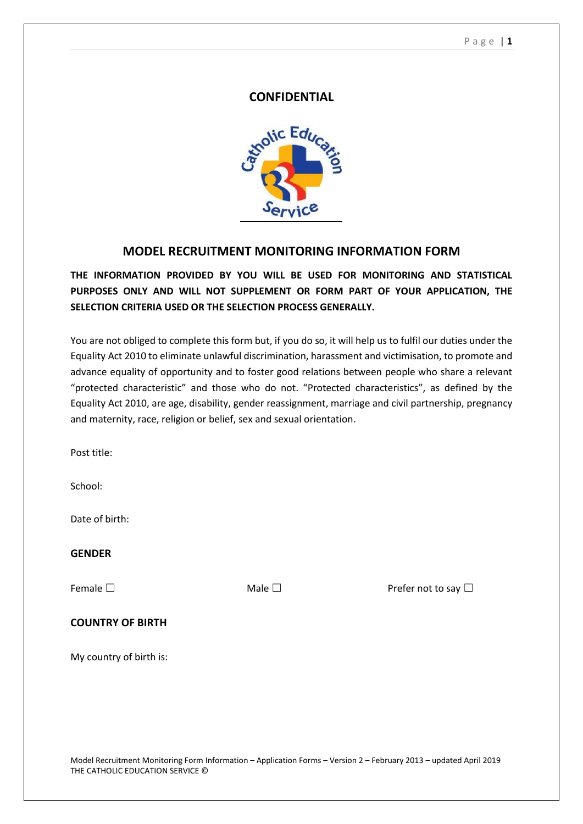#### P a g e | **1**

### **CONFIDENTIAL**



# **MODEL RECRUITMENT MONITORING INFORMATION FORM**

# **THE INFORMATION PROVIDED BY YOU WILL BE USED FOR MONITORING AND STATISTICAL PURPOSES ONLY AND WILL NOT SUPPLEMENT OR FORM PART OF YOUR APPLICATION, THE SELECTION CRITERIA USED OR THE SELECTION PROCESS GENERALLY.**

You are not obliged to complete this form but, if you do so, it will help us to fulfil our duties under the Equality Act 2010 to eliminate unlawful discrimination, harassment and victimisation, to promote and advance equality of opportunity and to foster good relations between people who share a relevant "protected characteristic" and those who do not. "Protected characteristics", as defined by the Equality Act 2010, are age, disability, gender reassignment, marriage and civil partnership, pregnancy and maternity, race, religion or belief, sex and sexual orientation.

Post title:

School:

Date of birth:

### **GENDER**

Female □ Nale □ Analogue Male □ Prefer not to say □

#### **COUNTRY OF BIRTH**

My country of birth is: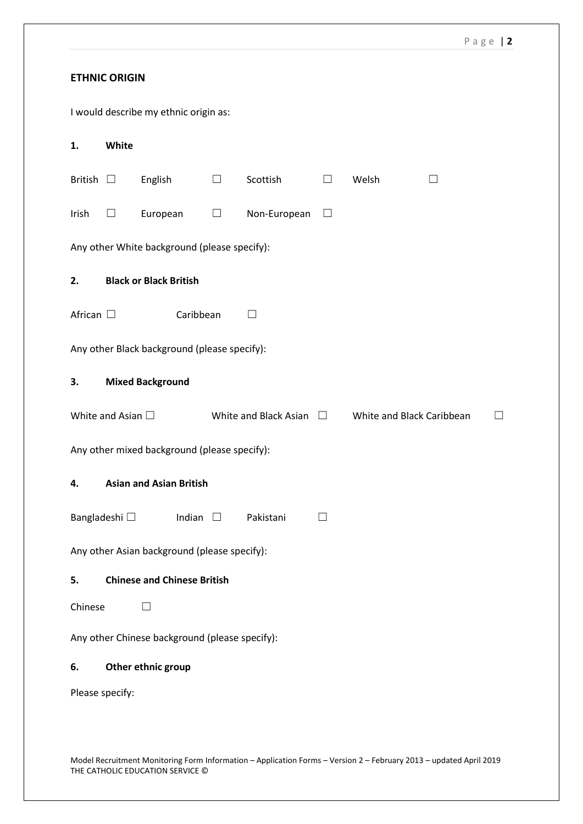### **ETHNIC ORIGIN**

I would describe my ethnic origin as:

| 1.                                             | White                                                                                                     |                                    |        |                   |              |       |  |  |  |  |  |  |
|------------------------------------------------|-----------------------------------------------------------------------------------------------------------|------------------------------------|--------|-------------------|--------------|-------|--|--|--|--|--|--|
| British $\Box$                                 |                                                                                                           | English                            | $\Box$ | Scottish          | $\Box$       | Welsh |  |  |  |  |  |  |
| Irish                                          | $\Box$                                                                                                    | European                           | $\Box$ | Non-European      | $\Box$       |       |  |  |  |  |  |  |
| Any other White background (please specify):   |                                                                                                           |                                    |        |                   |              |       |  |  |  |  |  |  |
| 2.                                             | <b>Black or Black British</b>                                                                             |                                    |        |                   |              |       |  |  |  |  |  |  |
| African $\square$                              |                                                                                                           | Caribbean                          |        | $\vert \ \ \vert$ |              |       |  |  |  |  |  |  |
| Any other Black background (please specify):   |                                                                                                           |                                    |        |                   |              |       |  |  |  |  |  |  |
| 3.                                             |                                                                                                           | <b>Mixed Background</b>            |        |                   |              |       |  |  |  |  |  |  |
|                                                | White and Asian $\square$<br>White and Black Asian<br>White and Black Caribbean<br>$\Box$<br>$\mathsf{L}$ |                                    |        |                   |              |       |  |  |  |  |  |  |
| Any other mixed background (please specify):   |                                                                                                           |                                    |        |                   |              |       |  |  |  |  |  |  |
| 4.                                             | <b>Asian and Asian British</b>                                                                            |                                    |        |                   |              |       |  |  |  |  |  |  |
|                                                | Bangladeshi □                                                                                             | Indian $\square$                   |        | Pakistani         | $\mathsf{L}$ |       |  |  |  |  |  |  |
| Any other Asian background (please specify):   |                                                                                                           |                                    |        |                   |              |       |  |  |  |  |  |  |
| 5.                                             |                                                                                                           | <b>Chinese and Chinese British</b> |        |                   |              |       |  |  |  |  |  |  |
| Chinese<br>$\Box$                              |                                                                                                           |                                    |        |                   |              |       |  |  |  |  |  |  |
| Any other Chinese background (please specify): |                                                                                                           |                                    |        |                   |              |       |  |  |  |  |  |  |
| 6.                                             |                                                                                                           | Other ethnic group                 |        |                   |              |       |  |  |  |  |  |  |
| Please specify:                                |                                                                                                           |                                    |        |                   |              |       |  |  |  |  |  |  |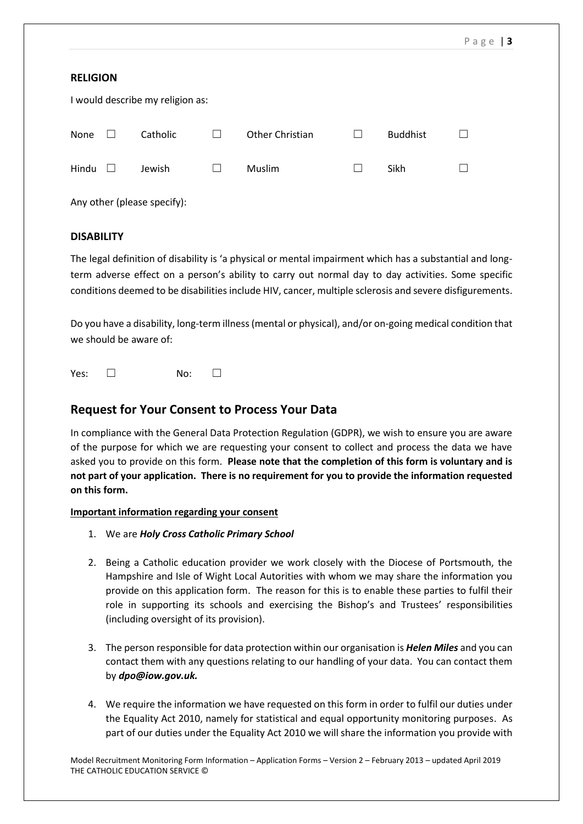#### **RELIGION**

| I would describe my religion as: |        |          |              |                 |        |                 |  |  |  |  |  |  |
|----------------------------------|--------|----------|--------------|-----------------|--------|-----------------|--|--|--|--|--|--|
| None                             | $\Box$ | Catholic | $\mathbf{I}$ | Other Christian | ш      | <b>Buddhist</b> |  |  |  |  |  |  |
| Hindu                            | $\Box$ | Jewish   |              | Muslim          | $\Box$ | Sikh            |  |  |  |  |  |  |
|                                  |        |          |              |                 |        |                 |  |  |  |  |  |  |

Any other (please specify):

#### **DISABILITY**

The legal definition of disability is 'a physical or mental impairment which has a substantial and longterm adverse effect on a person's ability to carry out normal day to day activities. Some specific conditions deemed to be disabilities include HIV, cancer, multiple sclerosis and severe disfigurements.

Do you have a disability, long-term illness (mental or physical), and/or on-going medical condition that we should be aware of:

Yes: □ No: □

# **Request for Your Consent to Process Your Data**

In compliance with the General Data Protection Regulation (GDPR), we wish to ensure you are aware of the purpose for which we are requesting your consent to collect and process the data we have asked you to provide on this form. **Please note that the completion of this form is voluntary and is not part of your application. There is no requirement for you to provide the information requested on this form.**

#### **Important information regarding your consent**

- 1. We are *Holy Cross Catholic Primary School*
- 2. Being a Catholic education provider we work closely with the Diocese of Portsmouth, the Hampshire and Isle of Wight Local Autorities with whom we may share the information you provide on this application form. The reason for this is to enable these parties to fulfil their role in supporting its schools and exercising the Bishop's and Trustees' responsibilities (including oversight of its provision).
- 3. The person responsible for data protection within our organisation is *Helen Miles* and you can contact them with any questions relating to our handling of your data. You can contact them by *dpo@iow.gov.uk.*
- 4. We require the information we have requested on this form in order to fulfil our duties under the Equality Act 2010, namely for statistical and equal opportunity monitoring purposes. As part of our duties under the Equality Act 2010 we will share the information you provide with

Model Recruitment Monitoring Form Information – Application Forms – Version 2 – February 2013 – updated April 2019 THE CATHOLIC EDUCATION SERVICE ©